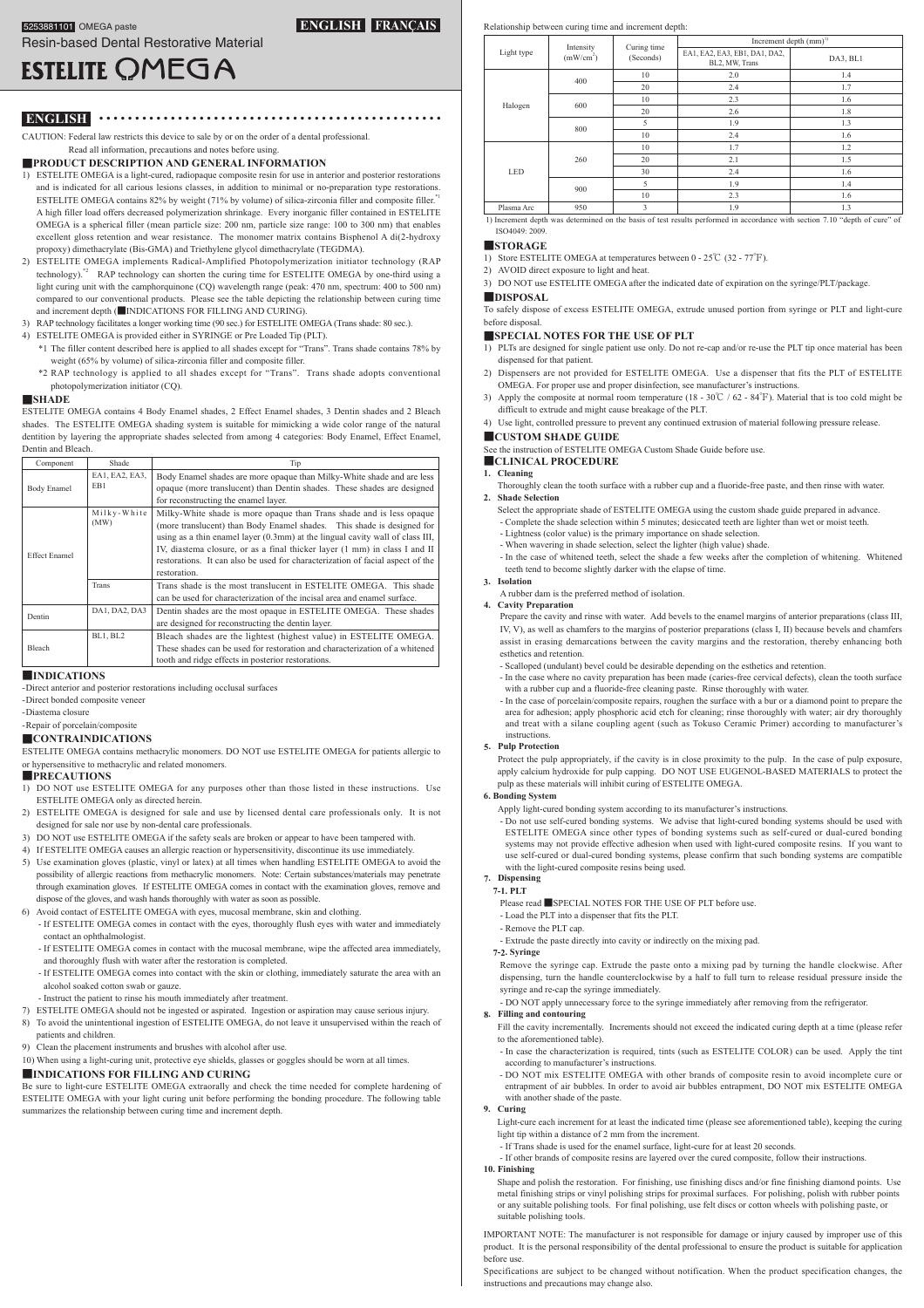## **FRANÇAIS ENGLISH**

# **ESTELITE OMEGA**

● ● ● ● ● ● ● ● ● ● ● ● ● ● ● ● ● ● ● ● ● ● ● ● ● ● ● ● ● ● ● ● ● ● ● ● ● ● ● ● ● ● ● ● ● ● ● ● **ENGLISH**

CAUTION: Federal law restricts this device to sale by or on the order of a dental professional. Read all information, precautions and notes before using

**INFORMATION EXECUTE AND GENERAL INFORMATION** 

- 1) ESTELITE OMEGA is a light-cured, radiopaque composite resin for use in anterior and posterior restorations and is indicated for all carious lesions classes, in addition to minimal or no-preparation type restorations. ESTELITE OMEGA contains 82% by weight (71% by volume) of silica-zirconia filler and composite filler.<sup>\*1</sup> A high filler load offers decreased polymerization shrinkage. Every inorganic filler contained in ESTELITE OMEGA is a spherical filler (mean particle size: 200 nm, particle size range: 100 to 300 nm) that enables excellent gloss retention and wear resistance. The monomer matrix contains Bisphenol A di(2-hydroxy propoxy) dimethacrylate (Bis-GMA) and Triethylene glycol dimethacrylate (TEGDMA).
- 2) ESTELITE OMEGA implements Radical-Amplified Photopolymerization initiator technology (RAP technology).<sup> $2$ </sup> RAP technology can shorten the curing time for ESTELITE OMEGA by one-third using a light curing unit with the camphorquinone (CQ) wavelength range (peak: 470 nm, spectrum: 400 to 500 nm) compared to our conventional products. Please see the table depicting the relationship between curing time and increment depth (■INDICATIONS FOR FILLING AND CURING).
- 3) RAP technology facilitates a longer working time (90 sec.) for ESTELITE OMEGA (Trans shade: 80 sec.).
- 4) ESTELITE OMEGA is provided either in SYRINGE or Pre Loaded Tip (PLT). \*1 The filler content described here is applied to all shades except for "Trans". Trans shade contains 78% by weight (65% by volume) of silica-zirconia filler and composite filler
	- \*2 RAP technology is applied to all shades except for "Trans". Trans shade adopts conventional photopolymerization initiator (CQ).

#### **SHADE**■

ESTELITE OMEGA contains 4 Body Enamel shades, 2 Effect Enamel shades, 3 Dentin shades and 2 Bleach shades. The ESTELITE OMEGA shading system is suitable for mimicking a wide color range of the natural dentition by layering the appropriate shades selected from among 4 categories: Body Enamel, Effect Enamel, Dentin and Bleach

#### Component Shade Tip Body Ename EA1, EA2, EA3, EB1 Body Enamel shades are more opaque than Milky-White shade and are less opaque (more translucent) than Dentin shades. These shades are designed for reconstructing the enamel layer. Effect Enamel Milky - White<br>(MW) Milky-White shade is more opaque than Trans shade and is less opaque (more translucent) than Body Enamel shades. This shade is designed for using as a thin enamel layer  $(0.3$ mm) at the lingual cavity wall of class III, IV, diastema closure, or as a final thicker layer (1 mm) in class I and II restorations. It can also be used for characterization of facial aspect of the .restoration Trans Trans shade is the most translucent in ESTELITE OMEGA. This shade can be used for characterization of the incisal area and enamel surface. DA1, DA2, DA3 Dentin shades are the most opaque in ESTELITE OMEGA. These shades Dentin are designed for reconstructing the dentin layer. Bleach BL1, BL2 Bleach shades are the lightest (highest value) in ESTELITE OMEGA. These shades can be used for restoration and characterization of a whitened tooth and ridge effects in posterior restorations

#### **INDICATIONS**■

-Direct anterior and posterior restorations including occlusal surfaces

-Direct bonded composite veneer

-Diastema closure

## -Repair of porcelain/composite

**CONTRAINDICATIONS**■ ESTELITE OMEGA contains methacrylic monomers. DO NOT use ESTELITE OMEGA for patients allergic to

or hypersensitive to methacrylic and related monomers.

#### **PRECAUTIONS**■

- 1) DO NOT use ESTELITE OMEGA for any purposes other than those listed in these instructions. Use ESTELITE OMEGA only as directed herein.
- 2) ESTELITE OMEGA is designed for sale and use by licensed dental care professionals only It is not designed for sale nor use by non-dental care professionals.
- 3) DO NOT use ESTELITE OMEGA if the safety seals are broken or appear to have been tampered with.
- 4) If ESTELITE OMEGA causes an allergic reaction or hypersensitivity, discontinue its use immediately.
- 5) Use examination gloves (plastic, vinyl or latex) at all times when handling ESTELITE OMEGA to avoid the possibility of allergic reactions from methacrylic monomers. Note: Certain substances/materials may penetrate through examination gloves. If ESTELITE OMEGA comes in contact with the examination gloves, remove and dispose of the gloves, and wash hands thoroughly with water as soon as possible.
- 6) Avoid contact of ESTELITE OMEGA with eyes, mucosal membrane, skin and clothing.
	- If ESTELITE OMEGA comes in contact with the eyes, thoroughly flush eyes with water and immediately contact an ophthalmologist.
	- If ESTELITE OMEGA comes in contact with the mucosal membrane, wipe the affected area immediately, and thoroughly flush with water after the restoration is completed.
	- If ESTELITE OMEGA comes into contact with the skin or clothing, immediately saturate the area with an alcohol soaked cotton swab or gauze.
	- Instruct the patient to rinse his mouth immediately after treatment
- 7) ESTELITE OMEGA should not be ingested or aspirated. Ingestion or aspiration may cause serious injury.
- 8) To avoid the unintentional ingestion of ESTELITE OMEGA, do not leave it unsupervised within the reach of natients and children.
- 9) Clean the placement instruments and brushes with alcohol after use.

10) When using a light-curing unit, protective eye shields, glasses or goggles should be worn at all times.

#### **CURING AND FILLING FOR INDICATIONS**■

Be sure to light-cure ESTELITE OMEGA extraorally and check the time needed for complete hardening of ESTELITE OMEGA with your light curing unit before performing the bonding procedure. The following table summarizes the relationship between curing time and increment depth.

### Relationship between curing time and increment depth:

| Light type | Intensity<br>(mW/cm <sup>2</sup> ) | Curing time<br>(Seconds) | Increment depth $(mm)^{1}$                      |          |
|------------|------------------------------------|--------------------------|-------------------------------------------------|----------|
|            |                                    |                          | EA1, EA2, EA3, EB1, DA1, DA2,<br>BL2, MW, Trans | DA3, BL1 |
| Halogen    | 400                                | 10                       | 2.0                                             | 1.4      |
|            |                                    | 20                       | 2.4                                             | 1.7      |
|            | 600                                | 10                       | 2.3                                             | 1.6      |
|            |                                    | 20                       | 2.6                                             | 1.8      |
|            | 800                                | 5                        | 1.9                                             | 1.3      |
|            |                                    | 10                       | 2.4                                             | 1.6      |
| <b>LED</b> | 260                                | 10                       | 1.7                                             | 1.2      |
|            |                                    | 20                       | 2.1                                             | 1.5      |
|            |                                    | 30                       | 2.4                                             | 1.6      |
|            | 900                                | 5                        | 1.9                                             | 1.4      |
|            |                                    | 10                       | 2.3                                             | 1.6      |
| Plasma Arc | 950                                | 3                        | 1.9                                             | 1.3      |

1) Increment depth was determined on the basis of test results performed in accordance with section 7.10 "depth of cure" of ISO4049: 2009

## ■**STORAGE**

1) Store ESTELITE OMEGA at temperatures between  $0 - 25^{\circ}C$  (32 - 77 $^{\circ}F$ ).

## 2) AVOID direct exposure to light and heat.

3) DO NOT use ESTELITE OMEGA after the indicated date of expiration on the syringe/PLT/package.

■**DISPOSAL** 

To safely dispose of excess ESTELITE OMEGA, extrude unused portion from syringe or PLT and light-cure before disposal

#### **PLACE BOR THE USE OF PLT**

- 1) PLTs are designed for single patient use only. Do not re-cap and/or re-use the PLT tip once material has been dispensed for that patient.
- 2) Dispensers are not provided for ESTELITE OMEGA. Use a dispenser that fits the PLT of ESTELITE OMEGA. For proper use and proper disinfection, see manufacturer's instructions
- Apply the composite at normal room temperature  $(18 30^{\circ}\text{C} / 62 84^{\circ}\text{F})$ . Material that is too cold might be difficult to extrude and might cause breakage of the PLT.
- 4) Use light, controlled pressure to prevent any continued extrusion of material following pressure release. **GUISTOM SHADE GUIDE**

See the instruction of ESTELITE OMEGA Custom Shade Guide before use.

#### **PROCEDURE Cleaning 1.**

Thoroughly clean the tooth surface with a rubber cup and a fluoride-free paste, and then rinse with water **Selection Shade 2.**

- Select the appropriate shade of ESTELITE OMEGA using the custom shade guide prepared in advance.
- Complete the shade selection within 5 minutes; desiccated teeth are lighter than wet or moist teeth.
- Lightness (color value) is the primary importance on shade selection.
- When wavering in shade selection, select the lighter (high value) shade.
- In the case of whitened teeth, select the shade a few weeks after the completion of whitening. Whitened teeth tend to become slightly darker with the elapse of time.

#### **Isolation 3.** A rubber dam is the preferred method of isolation.

 $Cavity$  **Preparation** 

Prepare the cavity and rinse with water. Add bevels to the enamel margins of anterior preparations (class III, IV, V), as well as chamfers to the margins of posterior preparations (class  $I$ , II) because bevels and chamfers assist in erasing demarcations between the cavity margins and the restoration, thereby enhancing both esthetics and retention

- Scalloped (undulant) bevel could be desirable depending on the esthetics and retention
- In the case where no cavity preparation has been made (caries-free cervical defects), clean the tooth surface with a rubber cup and a fluoride-free cleaning paste. Rinse thoroughly with water.
- In the case of porcelain/composite repairs, roughen the surface with a bur or a diamond point to prepare the area for adhesion; apply phosphoric acid etch for cleaning; rinse thoroughly with water; air dry thoroughly and treat with a silane coupling agent (such as Tokuso Ceramic Primer) according to manufacturer's .instructions

#### **Protection Pulp 5.**

Protect the pulp appropriately, if the cavity is in close proximity to the pulp. In the case of pulp exposure, apply calcium hydroxide for pulp capping. DO NOT USE EUGENOL-BASED MATERIALS to protect the pulp as these materials will inhibit curing of ESTELITE OMEGA.

#### **System Bonding 6.**

- Apply light-cured bonding system according to its manufacturer's instructions.
- Do not use self-cured bonding systems. We advise that light-cured-bonding systems should be used with ESTELITE OMEGA since other types of bonding systems such as self-cured or dual-cured bonding systems may not provide effective adhesion when used with light-cured composite resins. If you want to use self-cured or dual-cured bonding systems, please confirm that such bonding systems are compatible with the light-cured composite resins being used.

#### **Dispensing 7. PLT 7-1.**

- Please read ■SPECIAL NOTES FOR THE USE OF PLT before use.
- Load the PLT into a dispenser that fits the PLT.
- Remove the PLT cap.
- Extrude the paste directly into cavity or indirectly on the mixing pad.
- **Syringe 7-2.**

Remove the syringe cap. Extrude the paste onto a mixing pad by turning the handle clockwise. After dispensing, turn the handle counterclockwise by a half to full turn to release residual pressure inside the syringe and re-cap the syringe immediately.

DO NOT apply unnecessary force to the syringe immediately after removing from the refrigerator.

#### **contouring and Filling 8.**

Fill the cavity incrementally. Increments should not exceed the indicated curing depth at a time (please refer to the aforementioned table).

- In case the characterization is required, tints (such as ESTELITE COLOR) can be used. Apply the tint ccording to manufacturer's instructions
- DO NOT mix ESTELITE OMEGA with other brands of composite resin to avoid incomplete cure or entrapment of air bubbles. In order to avoid air bubbles entrapment, DO NOT mix ESTELITE OMEGA with another shade of the paste

#### **Curing 9.**

Light-cure each increment for at least the indicated time (please see aforementioned table), keeping the curing light tip within a distance of 2 mm from the increment.

- If Trans shade is used for the enamel surface, light-cure for at least 20 seconds.
- . If other brands of composite resins are layered over the cured composite, follow their instructions.
- **Finishing 10.**

Shape and polish the restoration. For finishing, use finishing discs and/or fine finishing diamond points. Use metal finishing strips or vinyl polishing strips for proximal surfaces. For polishing, polish with rubber points or any suitable polishing tools. For final polishing, use felt discs or cotton wheels with polishing paste, or suitable polishing tools.

IMPORTANT NOTE: The manufacturer is not responsible for damage or injury caused by improper use of this product. It is the personal responsibility of the dental professional to ensure the product is suitable for application before use

Specifications are subject to be changed without notification. When the product specification changes, the instructions and precautions may change also.